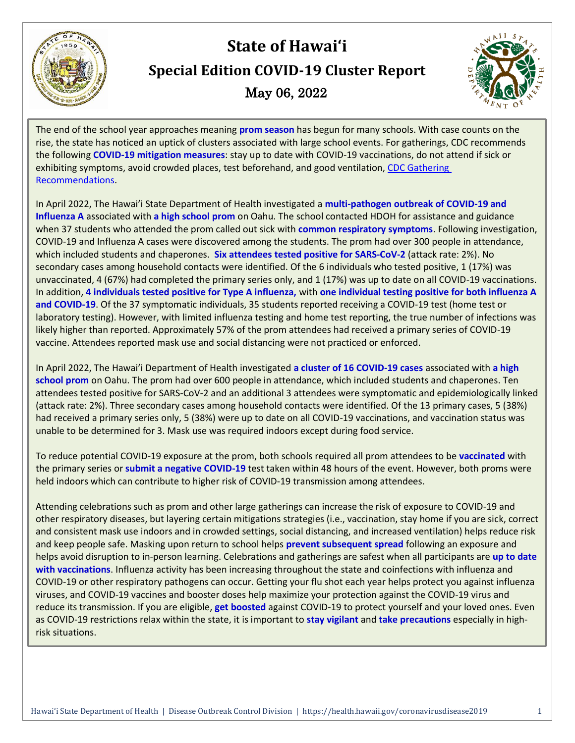

# **State of Hawai'i Special Edition COVID-19 Cluster Report** May 06, 2022



The end of the school year approaches meaning **prom season** has begun for many schools. With case counts on the rise, the state has noticed an uptick of clusters associated with large school events. For gatherings, CDC recommends the following **COVID-19 mitigation measures**: stay up to date with COVID-19 vaccinations, do not attend if sick or exhibiting symptoms, avoid crowded places, test beforehand, and good ventilation[, CDC Gathering](https://www.cdc.gov/coronavirus/2019-ncov/your-health/gatherings.html)  [Recommendations.](https://www.cdc.gov/coronavirus/2019-ncov/your-health/gatherings.html)

In April 2022, The Hawai'i State Department of Health investigated a **multi-pathogen outbreak of COVID-19 and Influenza A** associated with **a high school prom** on Oahu. The school contacted HDOH for assistance and guidance when 37 students who attended the prom called out sick with **common respiratory symptoms**. Following investigation, COVID-19 and Influenza A cases were discovered among the students. The prom had over 300 people in attendance, which included students and chaperones. **Six attendees tested positive for SARS-CoV-2** (attack rate: 2%). No secondary cases among household contacts were identified. Of the 6 individuals who tested positive, 1 (17%) was unvaccinated, 4 (67%) had completed the primary series only, and 1 (17%) was up to date on all COVID-19 vaccinations. In addition, **4 individuals tested positive for Type A influenza,** with **one individual testing positive for both influenza A and COVID-19**. Of the 37 symptomatic individuals, 35 students reported receiving a COVID-19 test (home test or laboratory testing). However, with limited influenza testing and home test reporting, the true number of infections was likely higher than reported. Approximately 57% of the prom attendees had received a primary series of COVID-19 vaccine. Attendees reported mask use and social distancing were not practiced or enforced.

In April 2022, The Hawai'i Department of Health investigated **a cluster of 16 COVID-19 cases** associated with **a high school prom** on Oahu. The prom had over 600 people in attendance, which included students and chaperones. Ten attendees tested positive for SARS-CoV-2 and an additional 3 attendees were symptomatic and epidemiologically linked (attack rate: 2%). Three secondary cases among household contacts were identified. Of the 13 primary cases, 5 (38%) had received a primary series only, 5 (38%) were up to date on all COVID-19 vaccinations, and vaccination status was unable to be determined for 3. Mask use was required indoors except during food service.

To reduce potential COVID-19 exposure at the prom, both schools required all prom attendees to be **vaccinated** with the primary series or **submit a negative COVID-19** test taken within 48 hours of the event. However, both proms were held indoors which can contribute to higher risk of COVID-19 transmission among attendees.

Attending celebrations such as prom and other large gatherings can increase the risk of exposure to COVID-19 and other respiratory diseases, but layering certain mitigations strategies (i.e., vaccination, stay home if you are sick, correct and consistent mask use indoors and in crowded settings, social distancing, and increased ventilation) helps reduce risk and keep people safe. Masking upon return to school helps **prevent subsequent spread** following an exposure and helps avoid disruption to in-person learning. Celebrations and gatherings are safest when all participants are **up to date with vaccinations**. Influenza activity has been increasing throughout the state and coinfections with influenza and COVID-19 or other respiratory pathogens can occur. Getting your flu shot each year helps protect you against influenza viruses, and COVID-19 vaccines and booster doses help maximize your protection against the COVID-19 virus and reduce its transmission. If you are eligible, **get boosted** against COVID-19 to protect yourself and your loved ones. Even as COVID-19 restrictions relax within the state, it is important to **stay vigilant** and **take precautions** especially in highrisk situations.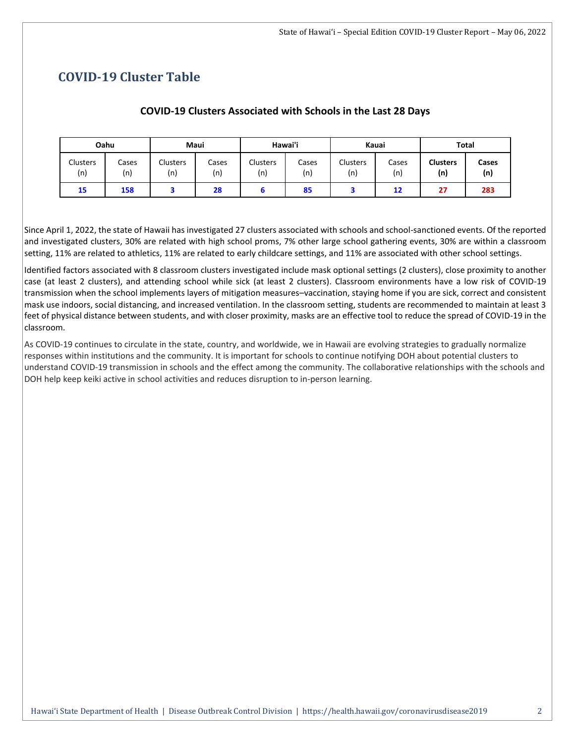## **COVID-19 Cluster Table**

#### **COVID-19 Clusters Associated with Schools in the Last 28 Days**

| Oahu            |              | Maui                   |              | Hawai'i         |              | Kauai           |              | <b>Total</b>           |              |
|-----------------|--------------|------------------------|--------------|-----------------|--------------|-----------------|--------------|------------------------|--------------|
| Clusters<br>(n) | Cases<br>(n) | <b>Clusters</b><br>(n) | Cases<br>(n) | Clusters<br>(n) | Cases<br>(n) | Clusters<br>(n) | Cases<br>(n) | <b>Clusters</b><br>(n) | Cases<br>(n) |
| 15              | 158          |                        | 28           |                 | 85           |                 | 12           | 27                     | 283          |

Since April 1, 2022, the state of Hawaii has investigated 27 clusters associated with schools and school-sanctioned events. Of the reported and investigated clusters, 30% are related with high school proms, 7% other large school gathering events, 30% are within a classroom setting, 11% are related to athletics, 11% are related to early childcare settings, and 11% are associated with other school settings.

Identified factors associated with 8 classroom clusters investigated include mask optional settings (2 clusters), close proximity to another case (at least 2 clusters), and attending school while sick (at least 2 clusters). Classroom environments have a low risk of COVID-19 transmission when the school implements layers of mitigation measures–vaccination, staying home if you are sick, correct and consistent mask use indoors, social distancing, and increased ventilation. In the classroom setting, students are recommended to maintain at least 3 feet of physical distance between students, and with closer proximity, masks are an effective tool to reduce the spread of COVID-19 in the classroom.

As COVID-19 continues to circulate in the state, country, and worldwide, we in Hawaii are evolving strategies to gradually normalize responses within institutions and the community. It is important for schools to continue notifying DOH about potential clusters to understand COVID-19 transmission in schools and the effect among the community. The collaborative relationships with the schools and DOH help keep keiki active in school activities and reduces disruption to in-person learning.